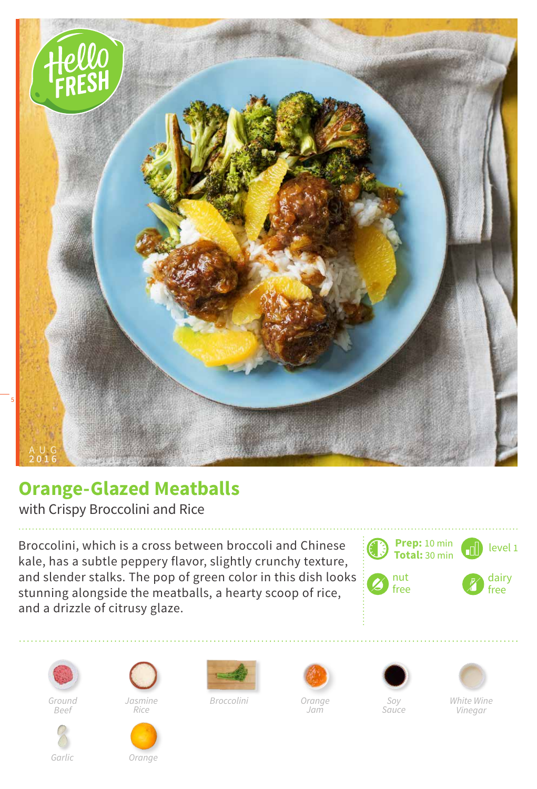

## **Orange-Glazed Meatballs**

with Crispy Broccolini and Rice

Broccolini, which is a cross between broccoli and Chinese kale, has a subtle peppery flavor, slightly crunchy texture, and slender stalks. The pop of green color in this dish looks stunning alongside the meatballs, a hearty scoop of rice, and a drizzle of citrusy glaze.





*Ground Beef*



*Rice*



*Broccolini*



*Jam*





*White Wine Vinegar*

*Garlic Orange*